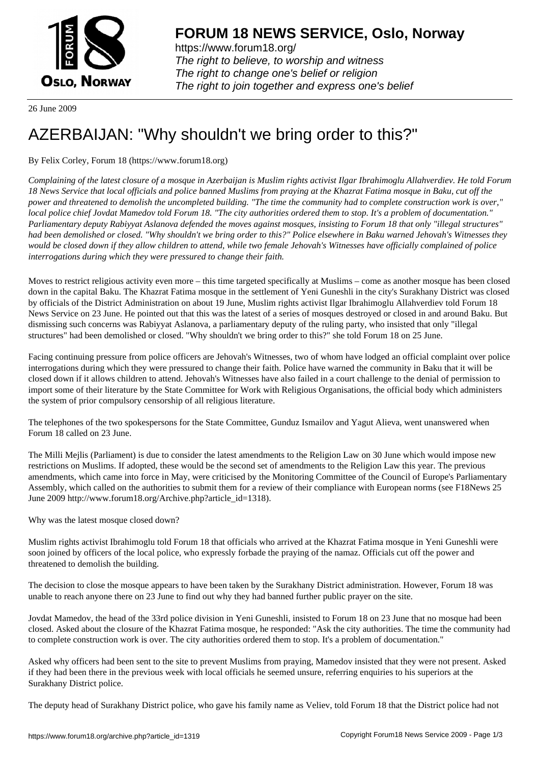

https://www.forum18.org/ The right to believe, to worship and witness The right to change one's belief or religion [The right to join together a](https://www.forum18.org/)nd express one's belief

26 June 2009

## [AZERBAIJAN: "](https://www.forum18.org)Why shouldn't we bring order to this?"

By Felix Corley, Forum 18 (https://www.forum18.org)

*Complaining of the latest closure of a mosque in Azerbaijan is Muslim rights activist Ilgar Ibrahimoglu Allahverdiev. He told Forum 18 News Service that local officials and police banned Muslims from praying at the Khazrat Fatima mosque in Baku, cut off the power and threatened to demolish the uncompleted building. "The time the community had to complete construction work is over," local police chief Jovdat Mamedov told Forum 18. "The city authorities ordered them to stop. It's a problem of documentation." Parliamentary deputy Rabiyyat Aslanova defended the moves against mosques, insisting to Forum 18 that only "illegal structures" had been demolished or closed. "Why shouldn't we bring order to this?" Police elsewhere in Baku warned Jehovah's Witnesses they would be closed down if they allow children to attend, while two female Jehovah's Witnesses have officially complained of police interrogations during which they were pressured to change their faith.*

Moves to restrict religious activity even more – this time targeted specifically at Muslims – come as another mosque has been closed down in the capital Baku. The Khazrat Fatima mosque in the settlement of Yeni Guneshli in the city's Surakhany District was closed by officials of the District Administration on about 19 June, Muslim rights activist Ilgar Ibrahimoglu Allahverdiev told Forum 18 News Service on 23 June. He pointed out that this was the latest of a series of mosques destroyed or closed in and around Baku. But dismissing such concerns was Rabiyyat Aslanova, a parliamentary deputy of the ruling party, who insisted that only "illegal structures" had been demolished or closed. "Why shouldn't we bring order to this?" she told Forum 18 on 25 June.

Facing continuing pressure from police officers are Jehovah's Witnesses, two of whom have lodged an official complaint over police interrogations during which they were pressured to change their faith. Police have warned the community in Baku that it will be closed down if it allows children to attend. Jehovah's Witnesses have also failed in a court challenge to the denial of permission to import some of their literature by the State Committee for Work with Religious Organisations, the official body which administers the system of prior compulsory censorship of all religious literature.

The telephones of the two spokespersons for the State Committee, Gunduz Ismailov and Yagut Alieva, went unanswered when Forum 18 called on 23 June.

The Milli Mejlis (Parliament) is due to consider the latest amendments to the Religion Law on 30 June which would impose new restrictions on Muslims. If adopted, these would be the second set of amendments to the Religion Law this year. The previous amendments, which came into force in May, were criticised by the Monitoring Committee of the Council of Europe's Parliamentary Assembly, which called on the authorities to submit them for a review of their compliance with European norms (see F18News 25 June 2009 http://www.forum18.org/Archive.php?article\_id=1318).

Why was the latest mosque closed down?

Muslim rights activist Ibrahimoglu told Forum 18 that officials who arrived at the Khazrat Fatima mosque in Yeni Guneshli were soon joined by officers of the local police, who expressly forbade the praying of the namaz. Officials cut off the power and threatened to demolish the building.

The decision to close the mosque appears to have been taken by the Surakhany District administration. However, Forum 18 was unable to reach anyone there on 23 June to find out why they had banned further public prayer on the site.

Jovdat Mamedov, the head of the 33rd police division in Yeni Guneshli, insisted to Forum 18 on 23 June that no mosque had been closed. Asked about the closure of the Khazrat Fatima mosque, he responded: "Ask the city authorities. The time the community had to complete construction work is over. The city authorities ordered them to stop. It's a problem of documentation."

Asked why officers had been sent to the site to prevent Muslims from praying, Mamedov insisted that they were not present. Asked if they had been there in the previous week with local officials he seemed unsure, referring enquiries to his superiors at the Surakhany District police.

The deputy head of Surakhany District police, who gave his family name as Veliev, told Forum 18 that the District police had not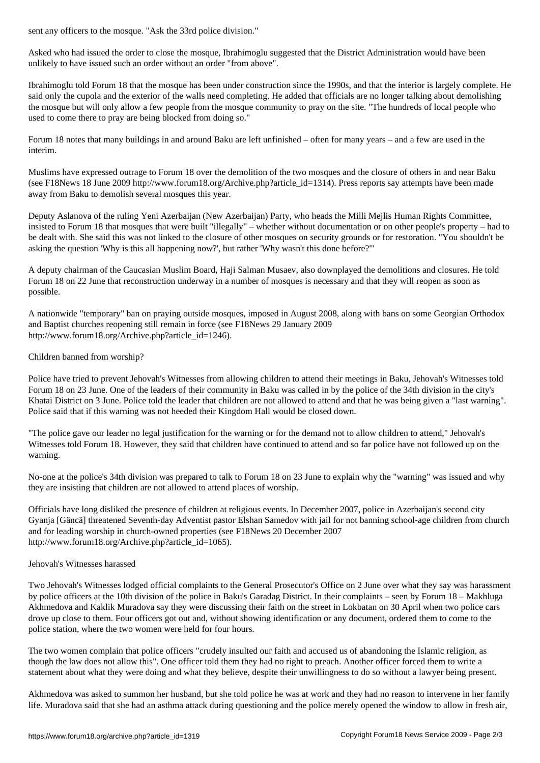Asked who had issued the order to close the mosque, Ibrahimoglu suggested that the District Administration would have been unlikely to have issued such an order without an order "from above".

Ibrahimoglu told Forum 18 that the mosque has been under construction since the 1990s, and that the interior is largely complete. He said only the cupola and the exterior of the walls need completing. He added that officials are no longer talking about demolishing the mosque but will only allow a few people from the mosque community to pray on the site. "The hundreds of local people who used to come there to pray are being blocked from doing so."

Forum 18 notes that many buildings in and around Baku are left unfinished – often for many years – and a few are used in the interim.

Muslims have expressed outrage to Forum 18 over the demolition of the two mosques and the closure of others in and near Baku (see F18News 18 June 2009 http://www.forum18.org/Archive.php?article\_id=1314). Press reports say attempts have been made away from Baku to demolish several mosques this year.

Deputy Aslanova of the ruling Yeni Azerbaijan (New Azerbaijan) Party, who heads the Milli Mejlis Human Rights Committee, insisted to Forum 18 that mosques that were built "illegally" – whether without documentation or on other people's property – had to be dealt with. She said this was not linked to the closure of other mosques on security grounds or for restoration. "You shouldn't be asking the question 'Why is this all happening now?', but rather 'Why wasn't this done before?'"

A deputy chairman of the Caucasian Muslim Board, Haji Salman Musaev, also downplayed the demolitions and closures. He told Forum 18 on 22 June that reconstruction underway in a number of mosques is necessary and that they will reopen as soon as possible.

A nationwide "temporary" ban on praying outside mosques, imposed in August 2008, along with bans on some Georgian Orthodox and Baptist churches reopening still remain in force (see F18News 29 January 2009 http://www.forum18.org/Archive.php?article\_id=1246).

## Children banned from worship?

Police have tried to prevent Jehovah's Witnesses from allowing children to attend their meetings in Baku, Jehovah's Witnesses told Forum 18 on 23 June. One of the leaders of their community in Baku was called in by the police of the 34th division in the city's Khatai District on 3 June. Police told the leader that children are not allowed to attend and that he was being given a "last warning". Police said that if this warning was not heeded their Kingdom Hall would be closed down.

"The police gave our leader no legal justification for the warning or for the demand not to allow children to attend," Jehovah's Witnesses told Forum 18. However, they said that children have continued to attend and so far police have not followed up on the warning.

No-one at the police's 34th division was prepared to talk to Forum 18 on 23 June to explain why the "warning" was issued and why they are insisting that children are not allowed to attend places of worship.

Officials have long disliked the presence of children at religious events. In December 2007, police in Azerbaijan's second city Gyanja [Gäncä] threatened Seventh-day Adventist pastor Elshan Samedov with jail for not banning school-age children from church and for leading worship in church-owned properties (see F18News 20 December 2007 http://www.forum18.org/Archive.php?article\_id=1065).

## Jehovah's Witnesses harassed

Two Jehovah's Witnesses lodged official complaints to the General Prosecutor's Office on 2 June over what they say was harassment by police officers at the 10th division of the police in Baku's Garadag District. In their complaints – seen by Forum 18 – Makhluga Akhmedova and Kaklik Muradova say they were discussing their faith on the street in Lokbatan on 30 April when two police cars drove up close to them. Four officers got out and, without showing identification or any document, ordered them to come to the police station, where the two women were held for four hours.

The two women complain that police officers "crudely insulted our faith and accused us of abandoning the Islamic religion, as though the law does not allow this". One officer told them they had no right to preach. Another officer forced them to write a statement about what they were doing and what they believe, despite their unwillingness to do so without a lawyer being present.

Akhmedova was asked to summon her husband, but she told police he was at work and they had no reason to intervene in her family life. Muradova said that she had an asthma attack during questioning and the police merely opened the window to allow in fresh air,